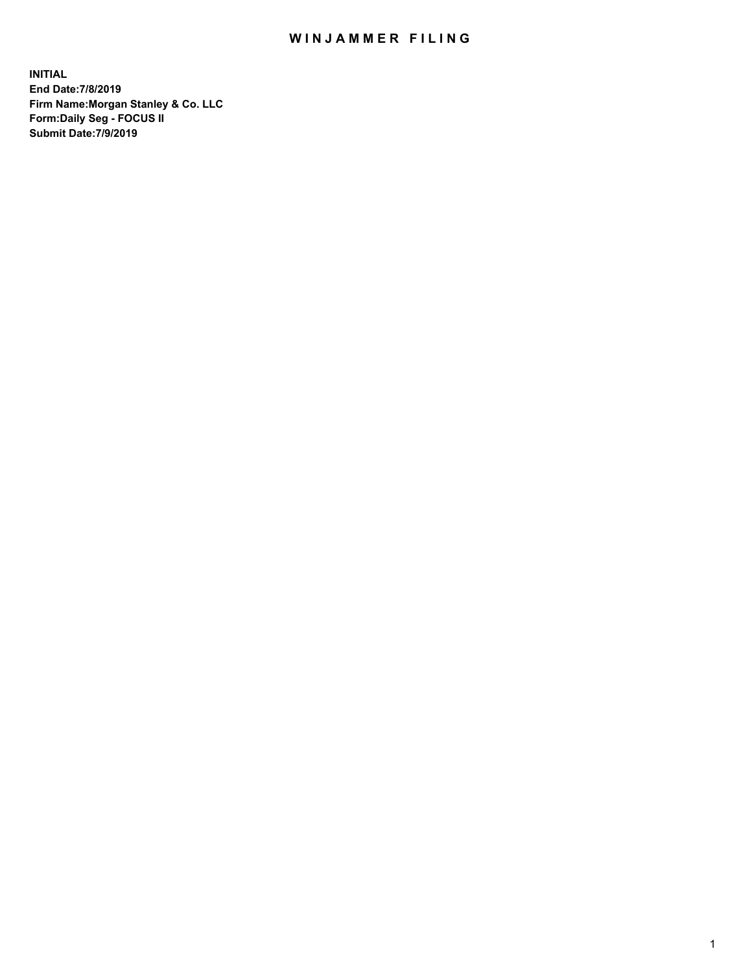## WIN JAMMER FILING

**INITIAL End Date:7/8/2019 Firm Name:Morgan Stanley & Co. LLC Form:Daily Seg - FOCUS II Submit Date:7/9/2019**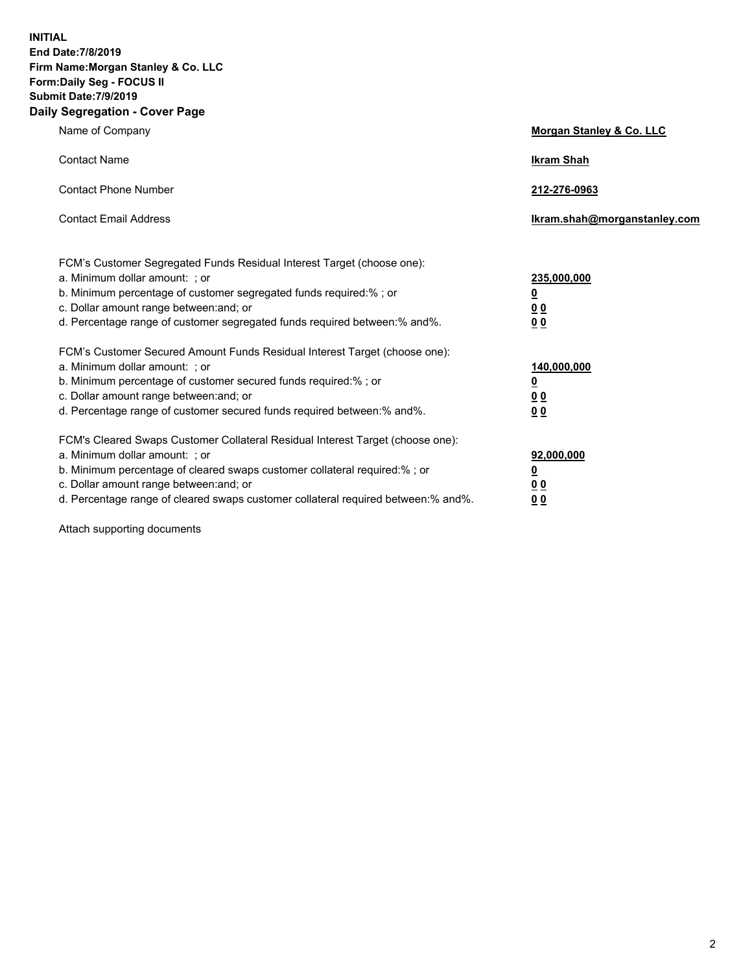**INITIAL End Date:7/8/2019 Firm Name:Morgan Stanley & Co. LLC Form:Daily Seg - FOCUS II Submit Date:7/9/2019 Daily Segregation - Cover Page**

| Name of Company                                                                                                                                                                                                                                                                                                                | Morgan Stanley & Co. LLC                                    |
|--------------------------------------------------------------------------------------------------------------------------------------------------------------------------------------------------------------------------------------------------------------------------------------------------------------------------------|-------------------------------------------------------------|
| <b>Contact Name</b>                                                                                                                                                                                                                                                                                                            | <b>Ikram Shah</b>                                           |
| <b>Contact Phone Number</b>                                                                                                                                                                                                                                                                                                    | 212-276-0963                                                |
| <b>Contact Email Address</b>                                                                                                                                                                                                                                                                                                   | Ikram.shah@morganstanley.com                                |
| FCM's Customer Segregated Funds Residual Interest Target (choose one):<br>a. Minimum dollar amount: ; or<br>b. Minimum percentage of customer segregated funds required:% ; or<br>c. Dollar amount range between: and; or<br>d. Percentage range of customer segregated funds required between:% and%.                         | 235,000,000<br><u>0</u><br>0 <sup>0</sup><br>00             |
| FCM's Customer Secured Amount Funds Residual Interest Target (choose one):<br>a. Minimum dollar amount: ; or<br>b. Minimum percentage of customer secured funds required:%; or<br>c. Dollar amount range between: and; or<br>d. Percentage range of customer secured funds required between:% and%.                            | 140,000,000<br><u>0</u><br>0 <sub>0</sub><br>0 <sub>0</sub> |
| FCM's Cleared Swaps Customer Collateral Residual Interest Target (choose one):<br>a. Minimum dollar amount: ; or<br>b. Minimum percentage of cleared swaps customer collateral required:% ; or<br>c. Dollar amount range between: and; or<br>d. Percentage range of cleared swaps customer collateral required between:% and%. | 92,000,000<br><u>0</u><br><u>00</u><br>00                   |

Attach supporting documents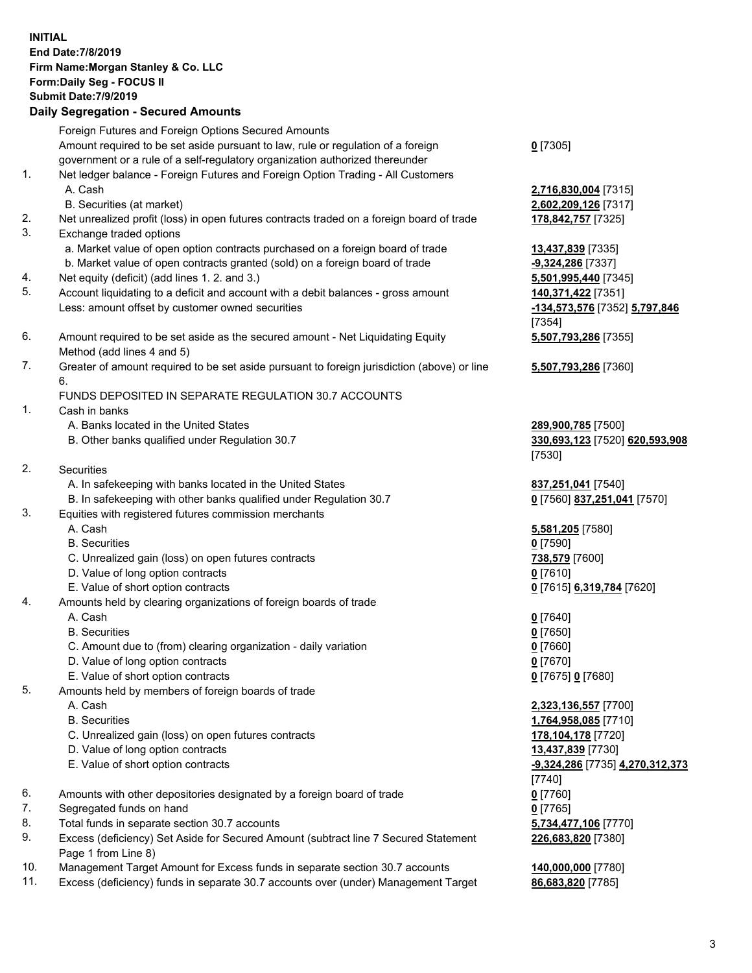| <b>INITIAL</b>       | End Date: 7/8/2019<br>Firm Name: Morgan Stanley & Co. LLC<br>Form: Daily Seg - FOCUS II<br><b>Submit Date: 7/9/2019</b><br><b>Daily Segregation - Secured Amounts</b>                                                                                         |                                                                                                                                                 |
|----------------------|---------------------------------------------------------------------------------------------------------------------------------------------------------------------------------------------------------------------------------------------------------------|-------------------------------------------------------------------------------------------------------------------------------------------------|
|                      | Foreign Futures and Foreign Options Secured Amounts<br>Amount required to be set aside pursuant to law, rule or regulation of a foreign                                                                                                                       | $0$ [7305]                                                                                                                                      |
| 1.                   | government or a rule of a self-regulatory organization authorized thereunder<br>Net ledger balance - Foreign Futures and Foreign Option Trading - All Customers<br>A. Cash<br>B. Securities (at market)                                                       | 2,716,830,004 [7315]<br>2,602,209,126 [7317]                                                                                                    |
| 2.<br>3.             | Net unrealized profit (loss) in open futures contracts traded on a foreign board of trade<br>Exchange traded options                                                                                                                                          | 178,842,757 [7325]                                                                                                                              |
| 4.                   | a. Market value of open option contracts purchased on a foreign board of trade<br>b. Market value of open contracts granted (sold) on a foreign board of trade                                                                                                | 13,437,839 [7335]<br>-9,324,286 [7337]                                                                                                          |
| 5.                   | Net equity (deficit) (add lines 1.2. and 3.)<br>Account liquidating to a deficit and account with a debit balances - gross amount<br>Less: amount offset by customer owned securities                                                                         | 5,501,995,440 [7345]<br>140,371,422 [7351]<br>-134,573,576 [7352] 5,797,846<br>[7354]                                                           |
| 6.                   | Amount required to be set aside as the secured amount - Net Liquidating Equity<br>Method (add lines 4 and 5)                                                                                                                                                  | 5,507,793,286 [7355]                                                                                                                            |
| 7.                   | Greater of amount required to be set aside pursuant to foreign jurisdiction (above) or line<br>6.                                                                                                                                                             | 5,507,793,286 [7360]                                                                                                                            |
| 1.                   | FUNDS DEPOSITED IN SEPARATE REGULATION 30.7 ACCOUNTS<br>Cash in banks<br>A. Banks located in the United States<br>B. Other banks qualified under Regulation 30.7                                                                                              | 289,900,785 [7500]<br>330,693,123 [7520] 620,593,908                                                                                            |
| 2.                   | Securities                                                                                                                                                                                                                                                    | $[7530]$                                                                                                                                        |
|                      | A. In safekeeping with banks located in the United States<br>B. In safekeeping with other banks qualified under Regulation 30.7                                                                                                                               | 837,251,041 [7540]<br>0 [7560] 837,251,041 [7570]                                                                                               |
| 3.                   | Equities with registered futures commission merchants<br>A. Cash<br><b>B.</b> Securities                                                                                                                                                                      | 5,581,205 [7580]<br>$0$ [7590]                                                                                                                  |
|                      | C. Unrealized gain (loss) on open futures contracts<br>D. Value of long option contracts<br>E. Value of short option contracts                                                                                                                                | 738,579 [7600]<br>$0$ [7610]<br>0 [7615] 6,319,784 [7620]                                                                                       |
| 4.                   | Amounts held by clearing organizations of foreign boards of trade<br>A. Cash<br><b>B.</b> Securities<br>C. Amount due to (from) clearing organization - daily variation<br>D. Value of long option contracts                                                  | $0$ [7640]<br>$0$ [7650]<br>$0$ [7660]<br>$0$ [7670]                                                                                            |
| 5.                   | E. Value of short option contracts<br>Amounts held by members of foreign boards of trade<br>A. Cash<br><b>B.</b> Securities<br>C. Unrealized gain (loss) on open futures contracts<br>D. Value of long option contracts<br>E. Value of short option contracts | 0 [7675] 0 [7680]<br>2,323,136,557 [7700]<br>1,764,958,085 [7710]<br>178,104,178 [7720]<br>13,437,839 [7730]<br>-9,324,286 [7735] 4,270,312,373 |
| 6.<br>7.<br>8.<br>9. | Amounts with other depositories designated by a foreign board of trade<br>Segregated funds on hand<br>Total funds in separate section 30.7 accounts<br>Excess (deficiency) Set Aside for Secured Amount (subtract line 7 Secured Statement                    | $[7740]$<br>$0$ [7760]<br>$0$ [7765]<br>5,734,477,106 [7770]<br>226,683,820 [7380]                                                              |
|                      | Page 1 from Line 8)                                                                                                                                                                                                                                           |                                                                                                                                                 |

- 10. Management Target Amount for Excess funds in separate section 30.7 accounts **140,000,000** [7780]
- 11. Excess (deficiency) funds in separate 30.7 accounts over (under) Management Target **86,683,820** [7785]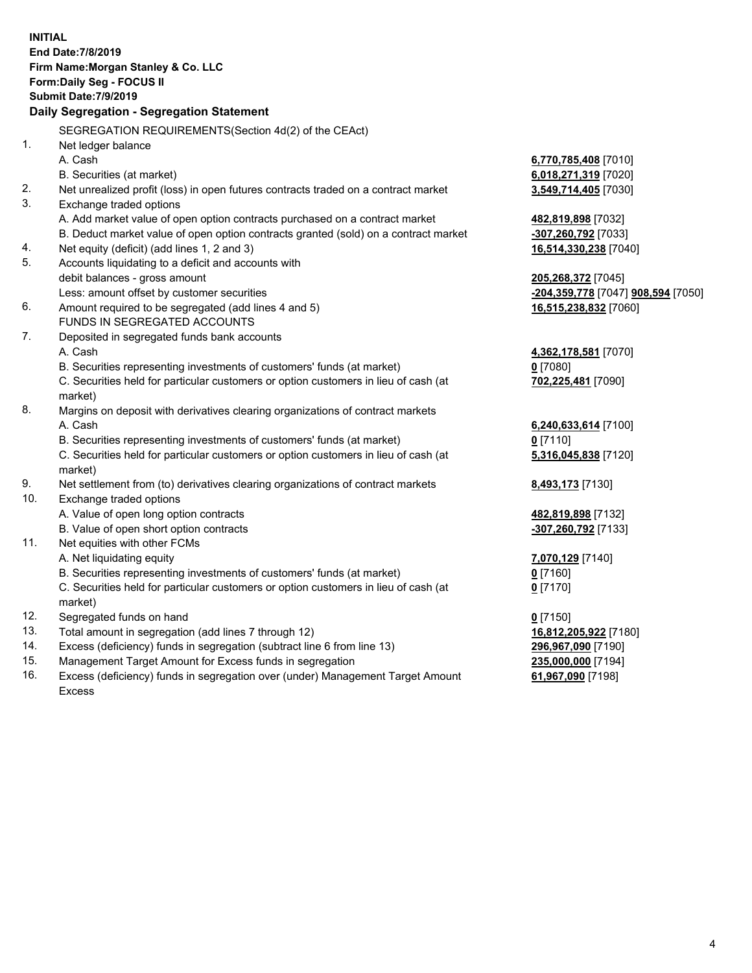|          | <b>INITIAL</b>                                                                                 |                                    |
|----------|------------------------------------------------------------------------------------------------|------------------------------------|
|          | End Date: 7/8/2019                                                                             |                                    |
|          | Firm Name: Morgan Stanley & Co. LLC                                                            |                                    |
|          | Form: Daily Seg - FOCUS II                                                                     |                                    |
|          | <b>Submit Date: 7/9/2019</b>                                                                   |                                    |
|          | Daily Segregation - Segregation Statement                                                      |                                    |
|          |                                                                                                |                                    |
|          | SEGREGATION REQUIREMENTS(Section 4d(2) of the CEAct)                                           |                                    |
| 1.       | Net ledger balance                                                                             |                                    |
|          | A. Cash                                                                                        | 6,770,785,408 [7010]               |
|          | B. Securities (at market)                                                                      | 6,018,271,319 [7020]               |
| 2.<br>3. | Net unrealized profit (loss) in open futures contracts traded on a contract market             | 3,549,714,405 [7030]               |
|          | Exchange traded options                                                                        |                                    |
|          | A. Add market value of open option contracts purchased on a contract market                    | 482,819,898 [7032]                 |
|          | B. Deduct market value of open option contracts granted (sold) on a contract market            | -307,260,792 [7033]                |
| 4.<br>5. | Net equity (deficit) (add lines 1, 2 and 3)                                                    | 16,514,330,238 [7040]              |
|          | Accounts liquidating to a deficit and accounts with                                            |                                    |
|          | debit balances - gross amount                                                                  | 205,268,372 [7045]                 |
|          | Less: amount offset by customer securities                                                     | -204,359,778 [7047] 908,594 [7050] |
| 6.       | Amount required to be segregated (add lines 4 and 5)<br>FUNDS IN SEGREGATED ACCOUNTS           | 16,515,238,832 [7060]              |
| 7.       |                                                                                                |                                    |
|          | Deposited in segregated funds bank accounts                                                    |                                    |
|          | A. Cash                                                                                        | 4,362,178,581 [7070]               |
|          | B. Securities representing investments of customers' funds (at market)                         | $0$ [7080]                         |
|          | C. Securities held for particular customers or option customers in lieu of cash (at            | 702,225,481 [7090]                 |
| 8.       | market)<br>Margins on deposit with derivatives clearing organizations of contract markets      |                                    |
|          | A. Cash                                                                                        |                                    |
|          | B. Securities representing investments of customers' funds (at market)                         | 6,240,633,614 [7100]               |
|          |                                                                                                | $0$ [7110]                         |
|          | C. Securities held for particular customers or option customers in lieu of cash (at<br>market) | 5,316,045,838 [7120]               |
| 9.       | Net settlement from (to) derivatives clearing organizations of contract markets                | 8,493,173 [7130]                   |
| 10.      | Exchange traded options                                                                        |                                    |
|          | A. Value of open long option contracts                                                         | 482,819,898 [7132]                 |
|          | B. Value of open short option contracts                                                        | -307,260,792 [7133]                |
| 11.      | Net equities with other FCMs                                                                   |                                    |
|          | A. Net liquidating equity                                                                      | 7,070,129 [7140]                   |
|          | B. Securities representing investments of customers' funds (at market)                         | $0$ [7160]                         |
|          | C. Securities held for particular customers or option customers in lieu of cash (at            | $0$ [7170]                         |
|          | market)                                                                                        |                                    |
| 12.      | Segregated funds on hand                                                                       | $0$ [7150]                         |
| 13.      | Total amount in segregation (add lines 7 through 12)                                           | 16,812,205,922 [7180]              |
| 14.      | Excess (deficiency) funds in segregation (subtract line 6 from line 13)                        | 296,967,090 [7190]                 |
| 15.      | Management Target Amount for Excess funds in segregation                                       | 235,000,000 [7194]                 |
| 16.      | Excess (deficiency) funds in segregation over (under) Management Target Amount                 | 61,967,090 [7198]                  |

Excess